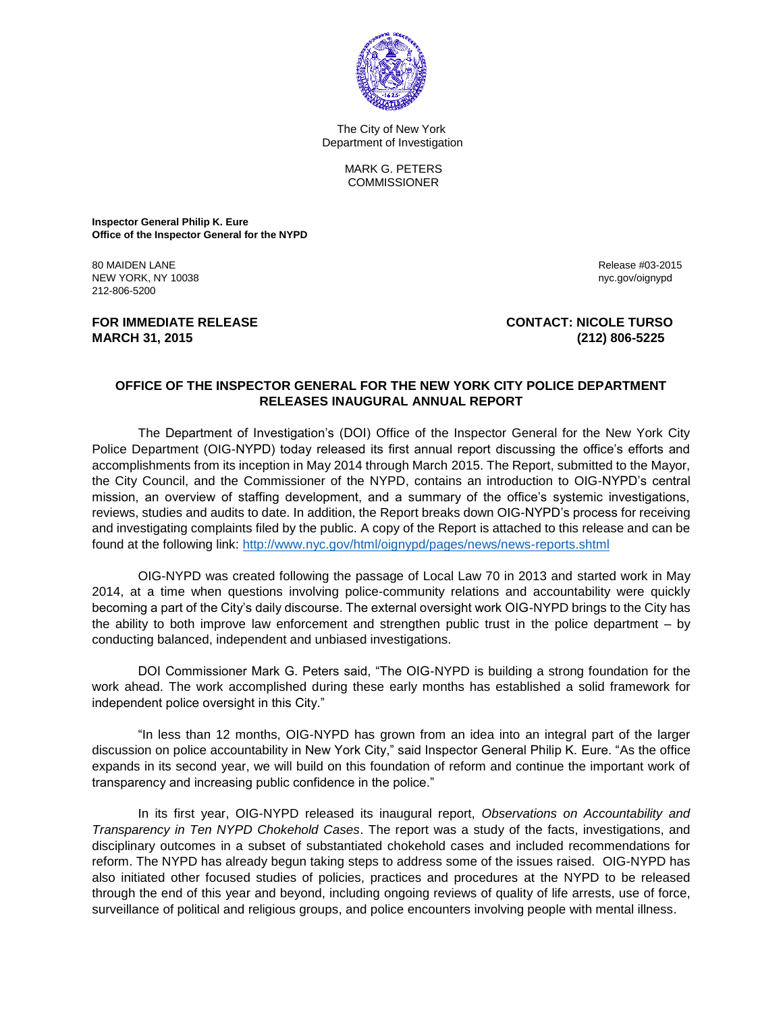

 The City of New York Department of Investigation

> MARK G. PETERS **COMMISSIONER**

**Inspector General Philip K. Eure Office of the Inspector General for the NYPD**

80 MAIDEN LANE Release #03-2015 NEW YORK, NY 10038 nyc.gov/oignypd in the state of the state of the state of the state of the state of the state of the state of the state of the state of the state of the state of the state of the state of the state of th 212-806-5200

## **FOR IMMEDIATE RELEASE CONTACT: NICOLE TURSO MARCH 31, 2015 (212) 806-5225**

## **OFFICE OF THE INSPECTOR GENERAL FOR THE NEW YORK CITY POLICE DEPARTMENT RELEASES INAUGURAL ANNUAL REPORT**

The Department of Investigation's (DOI) Office of the Inspector General for the New York City Police Department (OIG-NYPD) today released its first annual report discussing the office's efforts and accomplishments from its inception in May 2014 through March 2015. The Report, submitted to the Mayor, the City Council, and the Commissioner of the NYPD, contains an introduction to OIG-NYPD's central mission, an overview of staffing development, and a summary of the office's systemic investigations, reviews, studies and audits to date. In addition, the Report breaks down OIG-NYPD's process for receiving and investigating complaints filed by the public. A copy of the Report is attached to this release and can be found at the following link:<http://www.nyc.gov/html/oignypd/pages/news/news-reports.shtml>

OIG-NYPD was created following the passage of Local Law 70 in 2013 and started work in May 2014, at a time when questions involving police-community relations and accountability were quickly becoming a part of the City's daily discourse. The external oversight work OIG-NYPD brings to the City has the ability to both improve law enforcement and strengthen public trust in the police department – by conducting balanced, independent and unbiased investigations.

DOI Commissioner Mark G. Peters said, "The OIG-NYPD is building a strong foundation for the work ahead. The work accomplished during these early months has established a solid framework for independent police oversight in this City."

"In less than 12 months, OIG-NYPD has grown from an idea into an integral part of the larger discussion on police accountability in New York City," said Inspector General Philip K. Eure. "As the office expands in its second year, we will build on this foundation of reform and continue the important work of transparency and increasing public confidence in the police."

In its first year, OIG-NYPD released its inaugural report, *Observations on Accountability and Transparency in Ten NYPD Chokehold Cases*. The report was a study of the facts, investigations, and disciplinary outcomes in a subset of substantiated chokehold cases and included recommendations for reform. The NYPD has already begun taking steps to address some of the issues raised. OIG-NYPD has also initiated other focused studies of policies, practices and procedures at the NYPD to be released through the end of this year and beyond, including ongoing reviews of quality of life arrests, use of force, surveillance of political and religious groups, and police encounters involving people with mental illness.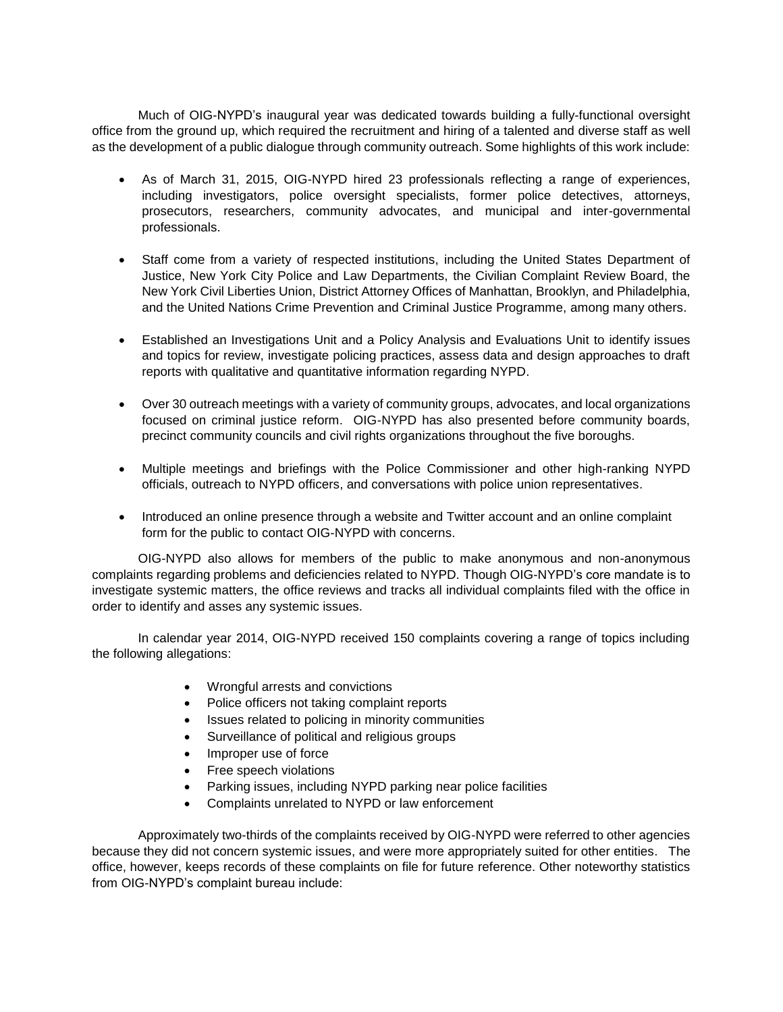Much of OIG-NYPD's inaugural year was dedicated towards building a fully-functional oversight office from the ground up, which required the recruitment and hiring of a talented and diverse staff as well as the development of a public dialogue through community outreach. Some highlights of this work include:

- As of March 31, 2015, OIG-NYPD hired 23 professionals reflecting a range of experiences, including investigators, police oversight specialists, former police detectives, attorneys, prosecutors, researchers, community advocates, and municipal and inter-governmental professionals.
- Staff come from a variety of respected institutions, including the United States Department of Justice, New York City Police and Law Departments, the Civilian Complaint Review Board, the New York Civil Liberties Union, District Attorney Offices of Manhattan, Brooklyn, and Philadelphia, and the United Nations Crime Prevention and Criminal Justice Programme, among many others.
- Established an Investigations Unit and a Policy Analysis and Evaluations Unit to identify issues and topics for review, investigate policing practices, assess data and design approaches to draft reports with qualitative and quantitative information regarding NYPD.
- Over 30 outreach meetings with a variety of community groups, advocates, and local organizations focused on criminal justice reform. OIG-NYPD has also presented before community boards, precinct community councils and civil rights organizations throughout the five boroughs.
- Multiple meetings and briefings with the Police Commissioner and other high-ranking NYPD officials, outreach to NYPD officers, and conversations with police union representatives.
- Introduced an online presence through a website and Twitter account and an online complaint form for the public to contact OIG-NYPD with concerns.

OIG-NYPD also allows for members of the public to make anonymous and non-anonymous complaints regarding problems and deficiencies related to NYPD. Though OIG-NYPD's core mandate is to investigate systemic matters, the office reviews and tracks all individual complaints filed with the office in order to identify and asses any systemic issues.

In calendar year 2014, OIG-NYPD received 150 complaints covering a range of topics including the following allegations:

- Wrongful arrests and convictions
- Police officers not taking complaint reports
- Issues related to policing in minority communities
- Surveillance of political and religious groups
- Improper use of force
- Free speech violations
- Parking issues, including NYPD parking near police facilities
- Complaints unrelated to NYPD or law enforcement

Approximately two-thirds of the complaints received by OIG-NYPD were referred to other agencies because they did not concern systemic issues, and were more appropriately suited for other entities. The office, however, keeps records of these complaints on file for future reference. Other noteworthy statistics from OIG-NYPD's complaint bureau include: